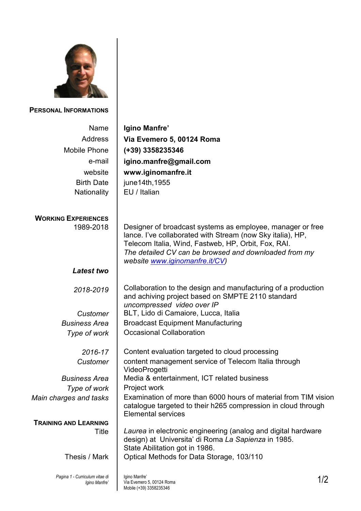

**PERSONAL INFORMATIONS**

| Name<br><b>Address</b><br><b>Mobile Phone</b><br>e-mail<br>website<br><b>Birth Date</b><br>Nationality | Igino Manfre'<br>Via Evemero 5, 00124 Roma<br>(+39) 3358235346<br>igino.manfre@gmail.com<br>www.iginomanfre.it<br>june14th, 1955<br>EU / Italian                                                                                                                           |     |
|--------------------------------------------------------------------------------------------------------|----------------------------------------------------------------------------------------------------------------------------------------------------------------------------------------------------------------------------------------------------------------------------|-----|
| <b>WORKING EXPERIENCES</b><br>1989-2018                                                                | Designer of broadcast systems as employee, manager or free<br>lance. I've collaborated with Stream (now Sky italia), HP,<br>Telecom Italia, Wind, Fastweb, HP, Orbit, Fox, RAI.<br>The detailed CV can be browsed and downloaded from my<br>website www.iginomanfre.it/CV) |     |
| <b>Latest two</b>                                                                                      |                                                                                                                                                                                                                                                                            |     |
| 2018-2019                                                                                              | Collaboration to the design and manufacturing of a production<br>and achiving project based on SMPTE 2110 standard<br>uncompressed video over IP                                                                                                                           |     |
| Customer                                                                                               | BLT, Lido di Camaiore, Lucca, Italia                                                                                                                                                                                                                                       |     |
| <b>Business Area</b>                                                                                   | <b>Broadcast Equipment Manufacturing</b>                                                                                                                                                                                                                                   |     |
| Type of work                                                                                           | <b>Occasional Collaboration</b>                                                                                                                                                                                                                                            |     |
| 2016-17                                                                                                | Content evaluation targeted to cloud processing                                                                                                                                                                                                                            |     |
| Customer                                                                                               | content management service of Telecom Italia through<br>VideoProgetti                                                                                                                                                                                                      |     |
| <b>Business Area</b>                                                                                   | Media & entertainment, ICT related business                                                                                                                                                                                                                                |     |
| Type of work                                                                                           | Project work                                                                                                                                                                                                                                                               |     |
| Main charges and tasks                                                                                 | Examination of more than 6000 hours of material from TIM vision<br>catalogue targeted to their h265 compression in cloud through<br><b>Elemental services</b>                                                                                                              |     |
| <b>TRAINING AND LEARNING</b>                                                                           |                                                                                                                                                                                                                                                                            |     |
| Title                                                                                                  | Laurea in electronic engineering (analog and digital hardware<br>design) at Universita' di Roma La Sapienza in 1985.<br>State Abilitation got in 1986.                                                                                                                     |     |
| Thesis / Mark                                                                                          | Optical Methods for Data Storage, 103/110                                                                                                                                                                                                                                  |     |
| Pagina 1 - Curriculum vitae di<br>Igino Manfre'                                                        | Igino Manfre'<br>Via Evemero 5, 00124 Roma<br>Mobile (+39) 3358235346                                                                                                                                                                                                      | 1/2 |